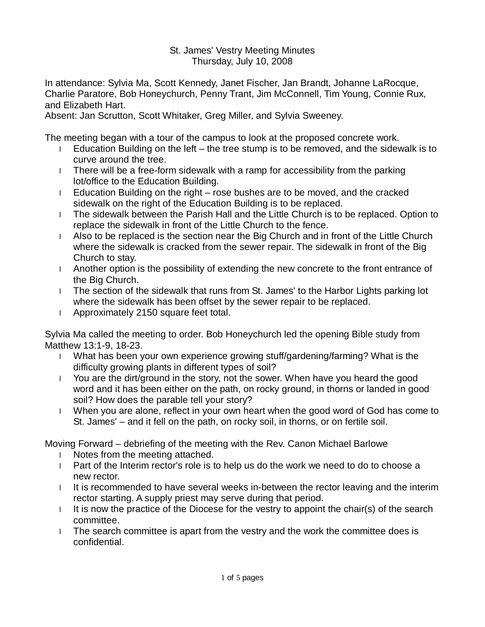## St. James' Vestry Meeting Minutes Thursday, July 10, 2008

In attendance: Sylvia Ma, Scott Kennedy, Janet Fischer, Jan Brandt, Johanne LaRocque, Charlie Paratore, Bob Honeychurch, Penny Trant, Jim McConnell, Tim Young, Connie Rux, and Elizabeth Hart.

Absent: Jan Scrutton, Scott Whitaker, Greg Miller, and Sylvia Sweeney.

The meeting began with a tour of the campus to look at the proposed concrete work.

- l Education Building on the left the tree stump is to be removed, and the sidewalk is to curve around the tree.
- l There will be a free-form sidewalk with a ramp for accessibility from the parking lot/office to the Education Building.
- l Education Building on the right rose bushes are to be moved, and the cracked sidewalk on the right of the Education Building is to be replaced.
- l The sidewalk between the Parish Hall and the Little Church is to be replaced. Option to replace the sidewalk in front of the Little Church to the fence.
- l Also to be replaced is the section near the Big Church and in front of the Little Church where the sidewalk is cracked from the sewer repair. The sidewalk in front of the Big Church to stay.
- l Another option is the possibility of extending the new concrete to the front entrance of the Big Church.
- l The section of the sidewalk that runs from St. James' to the Harbor Lights parking lot where the sidewalk has been offset by the sewer repair to be replaced.
- l Approximately 2150 square feet total.

Sylvia Ma called the meeting to order. Bob Honeychurch led the opening Bible study from Matthew 13:1-9, 18-23.

- l What has been your own experience growing stuff/gardening/farming? What is the difficulty growing plants in different types of soil?
- l You are the dirt/ground in the story, not the sower. When have you heard the good word and it has been either on the path, on rocky ground, in thorns or landed in good soil? How does the parable tell your story?
- l When you are alone, reflect in your own heart when the good word of God has come to St. James' – and it fell on the path, on rocky soil, in thorns, or on fertile soil.

Moving Forward – debriefing of the meeting with the Rev. Canon Michael Barlowe

- l Notes from the meeting attached.
- l Part of the Interim rector's role is to help us do the work we need to do to choose a new rector.
- I It is recommended to have several weeks in-between the rector leaving and the interim rector starting. A supply priest may serve during that period.
- I It is now the practice of the Diocese for the vestry to appoint the chair(s) of the search committee.
- l The search committee is apart from the vestry and the work the committee does is confidential.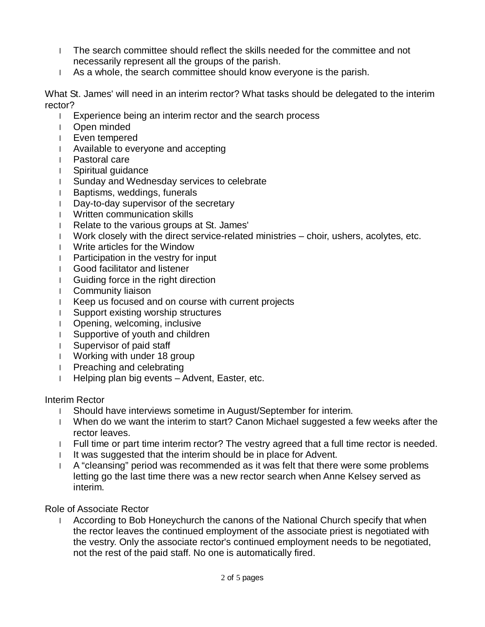- l The search committee should reflect the skills needed for the committee and not necessarily represent all the groups of the parish.
- l As a whole, the search committee should know everyone is the parish.

What St. James' will need in an interim rector? What tasks should be delegated to the interim rector?

- l Experience being an interim rector and the search process
- l Open minded
- l Even tempered
- l Available to everyone and accepting
- l Pastoral care
- l Spiritual guidance
- l Sunday and Wednesday services to celebrate
- l Baptisms, weddings, funerals
- l Day-to-day supervisor of the secretary
- l Written communication skills
- l Relate to the various groups at St. James'
- l Work closely with the direct service-related ministries choir, ushers, acolytes, etc.
- l Write articles for the Window
- l Participation in the vestry for input
- l Good facilitator and listener
- l Guiding force in the right direction
- l Community liaison
- l Keep us focused and on course with current projects
- l Support existing worship structures
- l Opening, welcoming, inclusive
- l Supportive of youth and children
- l Supervisor of paid staff
- l Working with under 18 group
- l Preaching and celebrating
- l Helping plan big events Advent, Easter, etc.

## Interim Rector

- l Should have interviews sometime in August/September for interim.
- l When do we want the interim to start? Canon Michael suggested a few weeks after the rector leaves.
- l Full time or part time interim rector? The vestry agreed that a full time rector is needed.
- I It was suggested that the interim should be in place for Advent.
- l A "cleansing" period was recommended as it was felt that there were some problems letting go the last time there was a new rector search when Anne Kelsey served as interim.

## Role of Associate Rector

l According to Bob Honeychurch the canons of the National Church specify that when the rector leaves the continued employment of the associate priest is negotiated with the vestry. Only the associate rector's continued employment needs to be negotiated, not the rest of the paid staff. No one is automatically fired.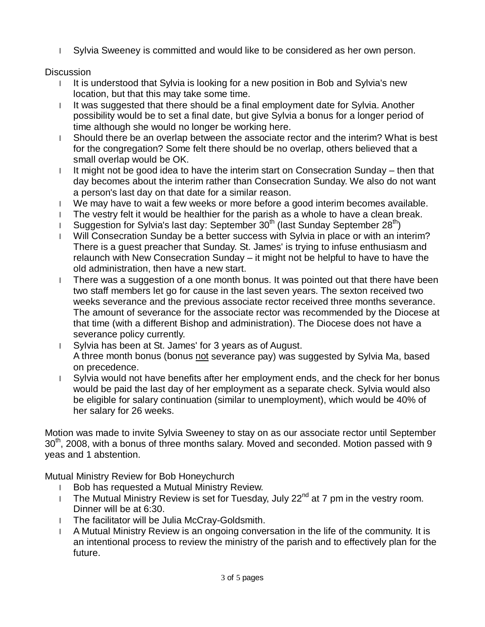l Sylvia Sweeney is committed and would like to be considered as her own person.

## **Discussion**

- I It is understood that Sylvia is looking for a new position in Bob and Sylvia's new location, but that this may take some time.
- l It was suggested that there should be a final employment date for Sylvia. Another possibility would be to set a final date, but give Sylvia a bonus for a longer period of time although she would no longer be working here.
- l Should there be an overlap between the associate rector and the interim? What is best for the congregation? Some felt there should be no overlap, others believed that a small overlap would be OK.
- l It might not be good idea to have the interim start on Consecration Sunday then that day becomes about the interim rather than Consecration Sunday. We also do not want a person's last day on that date for a similar reason.
- l We may have to wait a few weeks or more before a good interim becomes available.
- l The vestry felt it would be healthier for the parish as a whole to have a clean break.
- I Suggestion for Sylvia's last day: September  $30<sup>th</sup>$  (last Sunday September  $28<sup>th</sup>$ )
- l Will Consecration Sunday be a better success with Sylvia in place or with an interim? There is a guest preacher that Sunday. St. James' is trying to infuse enthusiasm and relaunch with New Consecration Sunday – it might not be helpful to have to have the old administration, then have a new start.
- l There was a suggestion of a one month bonus. It was pointed out that there have been two staff members let go for cause in the last seven years. The sexton received two weeks severance and the previous associate rector received three months severance. The amount of severance for the associate rector was recommended by the Diocese at that time (with a different Bishop and administration). The Diocese does not have a severance policy currently.
- l Sylvia has been at St. James' for 3 years as of August. A three month bonus (bonus not severance pay) was suggested by Sylvia Ma, based on precedence.
- l Sylvia would not have benefits after her employment ends, and the check for her bonus would be paid the last day of her employment as a separate check. Sylvia would also be eligible for salary continuation (similar to unemployment), which would be 40% of her salary for 26 weeks.

Motion was made to invite Sylvia Sweeney to stay on as our associate rector until September 30<sup>th</sup>, 2008, with a bonus of three months salary. Moved and seconded. Motion passed with 9 yeas and 1 abstention.

Mutual Ministry Review for Bob Honeychurch

- l Bob has requested a Mutual Ministry Review.
- I The Mutual Ministry Review is set for Tuesday, July 22 $^{nd}$  at 7 pm in the vestry room. Dinner will be at 6:30.
- l The facilitator will be Julia McCray-Goldsmith.
- l A Mutual Ministry Review is an ongoing conversation in the life of the community. It is an intentional process to review the ministry of the parish and to effectively plan for the future.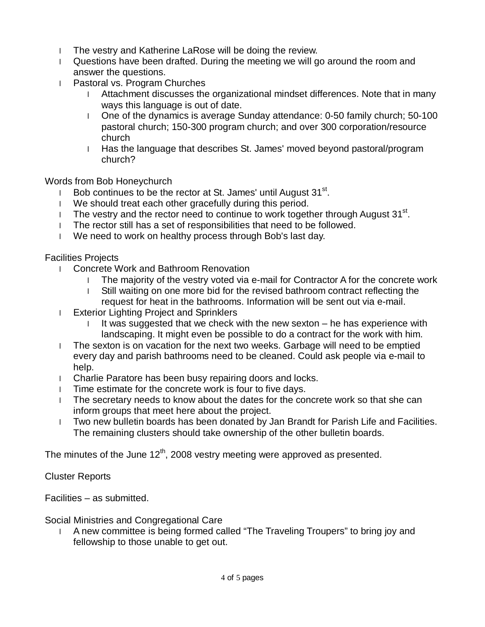- l The vestry and Katherine LaRose will be doing the review.
- l Questions have been drafted. During the meeting we will go around the room and answer the questions.
- l Pastoral vs. Program Churches
	- l Attachment discusses the organizational mindset differences. Note that in many ways this language is out of date.
	- l One of the dynamics is average Sunday attendance: 0-50 family church; 50-100 pastoral church; 150-300 program church; and over 300 corporation/resource church
	- l Has the language that describes St. James' moved beyond pastoral/program church?

Words from Bob Honeychurch

- **Bob continues to be the rector at St. James' until August 31**<sup>st</sup>.
- l We should treat each other gracefully during this period.
- I The vestry and the rector need to continue to work together through August  $31^{st}$ .
- l The rector still has a set of responsibilities that need to be followed.
- l We need to work on healthy process through Bob's last day.

Facilities Projects

- l Concrete Work and Bathroom Renovation
	- l The majority of the vestry voted via e-mail for Contractor A for the concrete work
	- l Still waiting on one more bid for the revised bathroom contract reflecting the request for heat in the bathrooms. Information will be sent out via e-mail.
- l Exterior Lighting Project and Sprinklers
	- It was suggested that we check with the new sexton he has experience with landscaping. It might even be possible to do a contract for the work with him.
- l The sexton is on vacation for the next two weeks. Garbage will need to be emptied every day and parish bathrooms need to be cleaned. Could ask people via e-mail to help.
- l Charlie Paratore has been busy repairing doors and locks.
- l Time estimate for the concrete work is four to five days.
- l The secretary needs to know about the dates for the concrete work so that she can inform groups that meet here about the project.
- l Two new bulletin boards has been donated by Jan Brandt for Parish Life and Facilities. The remaining clusters should take ownership of the other bulletin boards.

The minutes of the June  $12<sup>th</sup>$ , 2008 vestry meeting were approved as presented.

Cluster Reports

Facilities – as submitted.

Social Ministries and Congregational Care

l A new committee is being formed called "The Traveling Troupers" to bring joy and fellowship to those unable to get out.